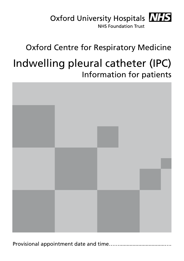

# Oxford Centre for Respiratory Medicine Indwelling pleural catheter (IPC) Information for patients

Provisional appointment date and time……...............................….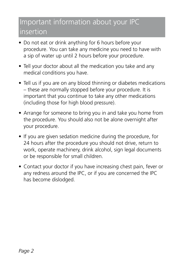### Important information about your IPC insertion

- Do not eat or drink anything for 6 hours before your procedure. You can take any medicine you need to have with a sip of water up until 2 hours before your procedure.
- Tell your doctor about all the medication you take and any medical conditions you have.
- Tell us if you are on any blood thinning or diabetes medications – these are normally stopped before your procedure. It is important that you continue to take any other medications (including those for high blood pressure).
- Arrange for someone to bring you in and take you home from the procedure. You should also not be alone overnight after your procedure.
- If you are given sedation medicine during the procedure, for 24 hours after the procedure you should not drive, return to work, operate machinery, drink alcohol, sign legal documents or be responsible for small children.
- Contact your doctor if you have increasing chest pain, fever or any redness around the IPC, or if you are concerned the IPC has become dislodged.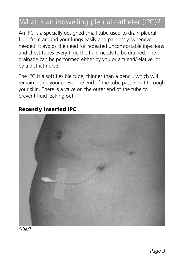## What is an indwelling pleural catheter (IPC)?

An IPC is a specially designed small tube used to drain pleural fluid from around your lungs easily and painlessly, whenever needed. It avoids the need for repeated uncomfortable injections and chest tubes every time the fluid needs to be drained. The drainage can be performed either by you or a friend/relative, or by a district nurse.

The IPC is a soft flexible tube, thinner than a pencil, which will remain inside your chest. The end of the tube passes out through your skin. There is a valve on the outer end of the tube to prevent fluid leaking out.

#### Recently inserted IPC



©*OMI*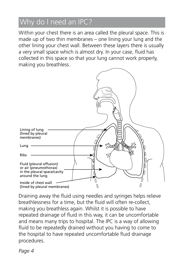## Why do I need an IPC?

Within your chest there is an area called the pleural space. This is made up of two thin membranes – one lining your lung and the other lining your chest wall. Between these layers there is usually a very small space which is almost dry. In your case, fluid has collected in this space so that your lung cannot work properly, making you breathless.



Draining away the fluid using needles and syringes helps relieve breathlessness for a time, but the fluid will often re-collect, making you breathless again. Whilst it is possible to have repeated drainage of fluid in this way, it can be uncomfortable and means many trips to hospital. The IPC is a way of allowing fluid to be repeatedly drained without you having to come to the hospital to have repeated uncomfortable fluid drainage procedures.

*Page 4*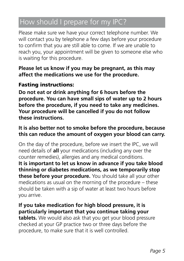## How should I prepare for my IPC?

Please make sure we have your correct telephone number. We will contact you by telephone a few days before your procedure to confirm that you are still able to come. If we are unable to reach you, your appointment will be given to someone else who is waiting for this procedure.

#### **Please let us know if you may be pregnant, as this may affect the medications we use for the procedure.**

#### Fasting instructions:

**Do not eat or drink anything for 6 hours before the procedure. You can have small sips of water up to 2 hours before the procedure, if you need to take any medicines. Your procedure will be cancelled if you do not follow these instructions.**

#### **It is also better not to smoke before the procedure, because this can reduce the amount of oxygen your blood can carry.**

On the day of the procedure, before we insert the IPC, we will need details of **all** your medications (including any over the counter remedies), allergies and any medical conditions. **It is important to let us know in advance if you take blood thinning or diabetes medications, as we temporarily stop these before your procedure.** You should take all your other medications as usual on the morning of the procedure – these should be taken with a sip of water at least two hours before you arrive.

**If you take medication for high blood pressure, it is particularly important that you continue taking your tablets.** We would also ask that you get your blood pressure checked at your GP practice two or three days before the procedure, to make sure that it is well controlled.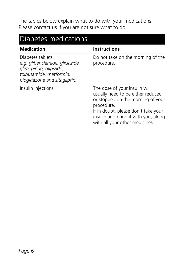The tables below explain what to do with your medications. Please contact us if you are not sure what to do.

| Diabetes medications                                                                                                                       |                                                                                                                                                                                                                                        |  |  |  |
|--------------------------------------------------------------------------------------------------------------------------------------------|----------------------------------------------------------------------------------------------------------------------------------------------------------------------------------------------------------------------------------------|--|--|--|
| <b>Medication</b>                                                                                                                          | <b>Instructions</b>                                                                                                                                                                                                                    |  |  |  |
| Diabetes tablets<br>e.g. glibenclamide, gliclazide,<br>glimepiride, glipizide,<br>tolbutamide, metformin,<br>pioglitazone and sitagliptin. | Do not take on the morning of the<br>procedure.                                                                                                                                                                                        |  |  |  |
| Insulin injections                                                                                                                         | The dose of your insulin will<br>usually need to be either reduced<br>or stopped on the morning of your<br>procedure.<br>If in doubt, please don't take your<br>insulin and bring it with you, along<br>with all your other medicines. |  |  |  |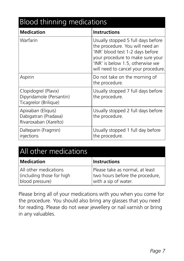| <b>Blood thinning medications</b>                                         |                                                                                                                                                                                                                          |  |  |  |
|---------------------------------------------------------------------------|--------------------------------------------------------------------------------------------------------------------------------------------------------------------------------------------------------------------------|--|--|--|
| <b>Medication</b>                                                         | <b>Instructions</b>                                                                                                                                                                                                      |  |  |  |
| Warfarin                                                                  | Usually stopped 5 full days before<br>the procedure. You will need an<br>'INR' blood test 1-2 days before<br>your procedure to make sure your<br>'INR' is below 1.5, otherwise we<br>will need to cancel your procedure. |  |  |  |
| Aspirin                                                                   | Do not take on the morning of<br>the procedure.                                                                                                                                                                          |  |  |  |
| Clopidogrel (Plavix)<br>Dipyridamole (Persantin)<br>Ticagrelor (Brilique) | Usually stopped 7 full days before<br>the procedure.                                                                                                                                                                     |  |  |  |
| Apixaban (Eliquis)<br>Dabigatran (Pradaxa)<br>Rivaroxaban (Xarelto)       | Usually stopped 2 full days before<br>the procedure.                                                                                                                                                                     |  |  |  |
| Dalteparin (Fragmin)<br>injections                                        | Usually stopped 1 full day before<br>the procedure.                                                                                                                                                                      |  |  |  |

| All other medications                                                 |                                                                                            |  |
|-----------------------------------------------------------------------|--------------------------------------------------------------------------------------------|--|
| Medication                                                            | <b>Instructions</b>                                                                        |  |
| All other medications<br>(including those for high<br>blood pressure) | Please take as normal, at least<br>two hours before the procedure,<br>with a sip of water. |  |

Please bring all of your medications with you when you come for the procedure. You should also bring any glasses that you need for reading. Please do not wear jewellery or nail varnish or bring in any valuables.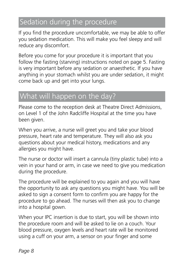## Sedation during the procedure

If you find the procedure uncomfortable, we may be able to offer you sedation medication. This will make you feel sleepy and will reduce any discomfort.

Before you come for your procedure it is important that you follow the fasting (starving) instructions noted on page 5. Fasting is very important before any sedation or anaesthetic. If you have anything in your stomach whilst you are under sedation, it might come back up and get into your lungs.

### What will happen on the day?

Please come to the reception desk at Theatre Direct Admissions, on Level 1 of the John Radcliffe Hospital at the time you have been given.

When you arrive, a nurse will greet you and take your blood pressure, heart rate and temperature. They will also ask you questions about your medical history, medications and any allergies you might have.

The nurse or doctor will insert a cannula (tiny plastic tube) into a vein in your hand or arm, in case we need to give you medication during the procedure.

The procedure will be explained to you again and you will have the opportunity to ask any questions you might have. You will be asked to sign a consent form to confirm you are happy for the procedure to go ahead. The nurses will then ask you to change into a hospital gown.

When your IPC insertion is due to start, you will be shown into the procedure room and will be asked to lie on a couch. Your blood pressure, oxygen levels and heart rate will be monitored using a cuff on your arm, a sensor on your finger and some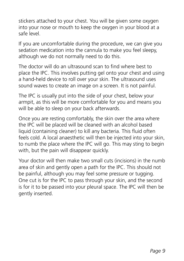stickers attached to your chest. You will be given some oxygen into your nose or mouth to keep the oxygen in your blood at a safe level.

If you are uncomfortable during the procedure, we can give you sedation medication into the cannula to make you feel sleepy, although we do not normally need to do this.

The doctor will do an ultrasound scan to find where best to place the IPC. This involves putting gel onto your chest and using a hand-held device to roll over your skin. The ultrasound uses sound waves to create an image on a screen. It is not painful.

The IPC is usually put into the side of your chest, below your armpit, as this will be more comfortable for you and means you will be able to sleep on your back afterwards.

Once you are resting comfortably, the skin over the area where the IPC will be placed will be cleaned with an alcohol based liquid (containing cleaner) to kill any bacteria. This fluid often feels cold. A local anaesthetic will then be injected into your skin, to numb the place where the IPC will go. This may sting to begin with, but the pain will disappear quickly.

Your doctor will then make two small cuts (incisions) in the numb area of skin and gently open a path for the IPC. This should not be painful, although you may feel some pressure or tugging. One cut is for the IPC to pass through your skin, and the second is for it to be passed into your pleural space. The IPC will then be gently inserted.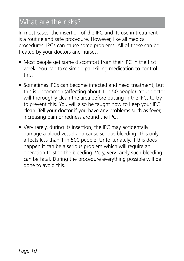### What are the risks?

In most cases, the insertion of the IPC and its use in treatment is a routine and safe procedure. However, like all medical procedures, IPCs can cause some problems. All of these can be treated by your doctors and nurses.

- Most people get some discomfort from their IPC in the first week. You can take simple painkilling medication to control this.
- Sometimes IPCs can become infected and need treatment, but this is uncommon (affecting about 1 in 50 people). Your doctor will thoroughly clean the area before putting in the IPC, to try to prevent this. You will also be taught how to keep your IPC clean. Tell your doctor if you have any problems such as fever, increasing pain or redness around the IPC.
- Very rarely, during its insertion, the IPC may accidentally damage a blood vessel and cause serious bleeding. This only affects less than 1 in 500 people. Unfortunately, if this does happen it can be a serious problem which will require an operation to stop the bleeding. Very, very rarely such bleeding can be fatal. During the procedure everything possible will be done to avoid this.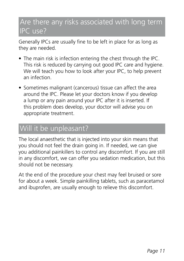#### Are there any risks associated with long term IPC use?

Generally IPCs are usually fine to be left in place for as long as they are needed.

- The main risk is infection entering the chest through the IPC. This risk is reduced by carrying out good IPC care and hygiene. We will teach you how to look after your IPC, to help prevent an infection.
- Sometimes malignant (cancerous) tissue can affect the area around the IPC. Please let your doctors know if you develop a lump or any pain around your IPC after it is inserted. If this problem does develop, your doctor will advise you on appropriate treatment.

### Will it be unpleasant?

The local anaesthetic that is injected into your skin means that you should not feel the drain going in. If needed, we can give you additional painkillers to control any discomfort. If you are still in any discomfort, we can offer you sedation medication, but this should not be necessary.

At the end of the procedure your chest may feel bruised or sore for about a week. Simple painkilling tablets, such as paracetamol and ibuprofen, are usually enough to relieve this discomfort.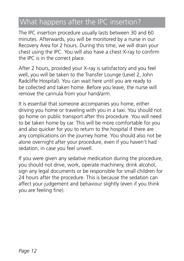### What happens after the IPC insertion?

The IPC insertion procedure usually lasts between 30 and 60 minutes. Afterwards, you will be monitored by a nurse in our Recovery Area for 2 hours. During this time, we will drain your chest using the IPC. You will also have a chest X-ray to confirm the IPC is in the correct place.

After 2 hours, provided your X-ray is satisfactory and you feel well, you will be taken to the Transfer Lounge (Level 2, John Radcliffe Hospital). You can wait here until you are ready to be collected and taken home. Before you leave, the nurse will remove the cannula from your hand/arm.

It is essential that someone accompanies you home, either driving you home or traveling with you in a taxi. You should not go home on public transport after this procedure. You will need to be taken home by car. This will be more comfortable for you and also quicker for you to return to the hospital if there are any complications on the journey home. You should also not be alone overnight after your procedure, even if you haven't had sedation, in case you feel unwell.

If you were given any sedative medication during the procedure, you should not drive, work, operate machinery, drink alcohol, sign any legal documents or be responsible for small children for 24 hours after the procedure. This is because the sedation can affect your judgement and behaviour slightly (even if you think you are feeling fine).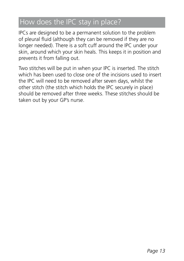#### How does the IPC stay in place?

IPCs are designed to be a permanent solution to the problem of pleural fluid (although they can be removed if they are no longer needed). There is a soft cuff around the IPC under your skin, around which your skin heals. This keeps it in position and prevents it from falling out.

Two stitches will be put in when your IPC is inserted. The stitch which has been used to close one of the incisions used to insert the IPC will need to be removed after seven days, whilst the other stitch (the stitch which holds the IPC securely in place) should be removed after three weeks. These stitches should be taken out by your GP's nurse.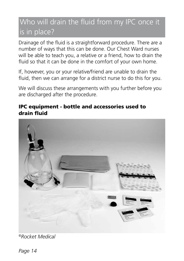## Who will drain the fluid from my IPC once it is in place?

Drainage of the fluid is a straightforward procedure. There are a number of ways that this can be done. Our Chest Ward nurses will be able to teach you, a relative or a friend, how to drain the fluid so that it can be done in the comfort of your own home.

If, however, you or your relative/friend are unable to drain the fluid, then we can arrange for a district nurse to do this for you.

We will discuss these arrangements with you further before you are discharged after the procedure.

#### IPC equipment - bottle and accessories used to drain fluid



*©Rocket Medical*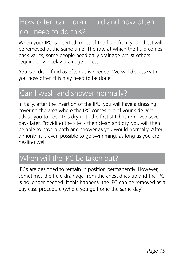## How often can I drain fluid and how often do I need to do this?

When your IPC is inserted, most of the fluid from your chest will be removed at the same time. The rate at which the fluid comes back varies; some people need daily drainage whilst others require only weekly drainage or less.

You can drain fluid as often as is needed. We will discuss with you how often this may need to be done.

### Can I wash and shower normally?

Initially, after the insertion of the IPC, you will have a dressing covering the area where the IPC comes out of your side. We advise you to keep this dry until the first stitch is removed seven days later. Providing the site is then clean and dry, you will then be able to have a bath and shower as you would normally. After a month it is even possible to go swimming, as long as you are healing well.

#### When will the IPC be taken out?

IPCs are designed to remain in position permanently. However, sometimes the fluid drainage from the chest dries up and the IPC is no longer needed. If this happens, the IPC can be removed as a day case procedure (where you go home the same day).